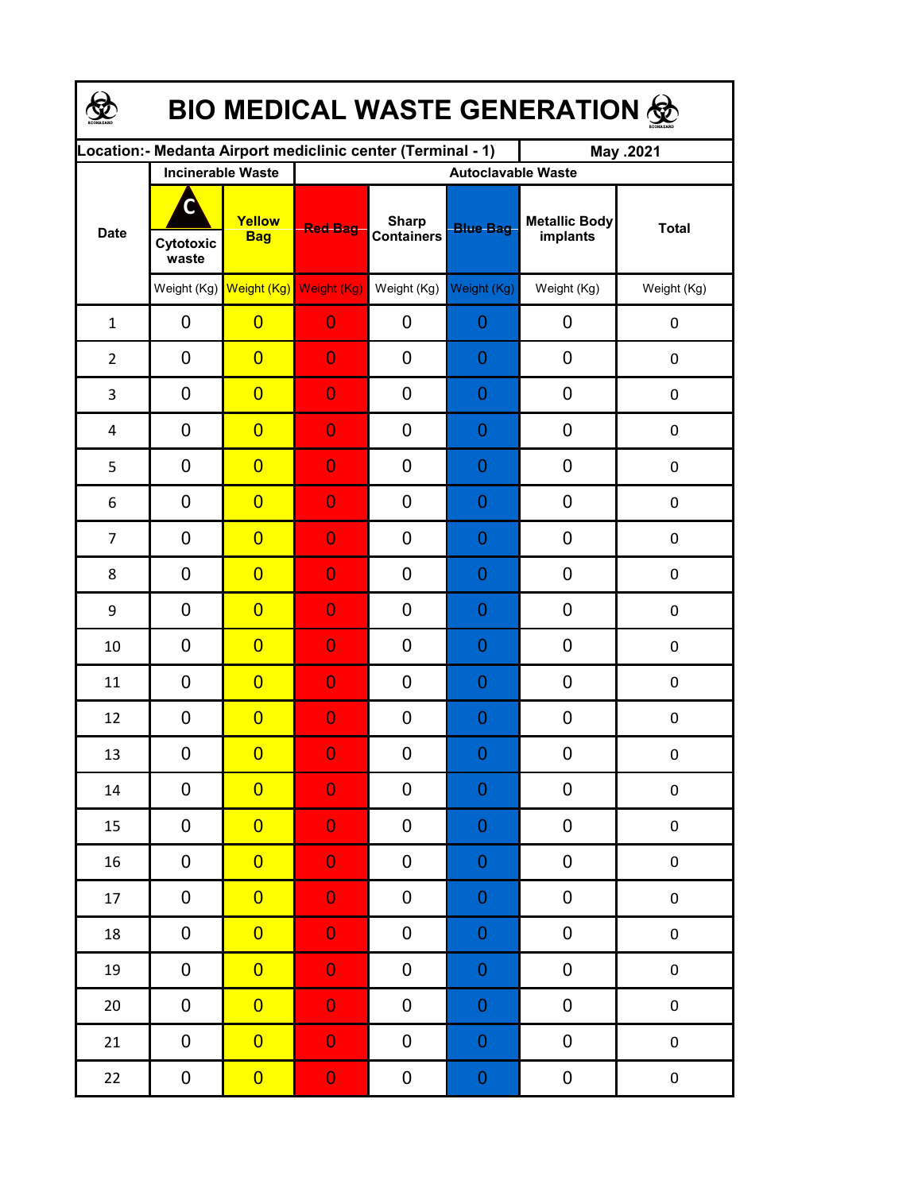| <b>BIO MEDICAL WASTE GENERATION ©</b> |                          |                                     |                                                             |                                   |                 |                                  |                  |  |  |  |
|---------------------------------------|--------------------------|-------------------------------------|-------------------------------------------------------------|-----------------------------------|-----------------|----------------------------------|------------------|--|--|--|
|                                       |                          |                                     | Location:- Medanta Airport mediclinic center (Terminal - 1) |                                   |                 | May .2021                        |                  |  |  |  |
| <b>Date</b>                           | <b>Incinerable Waste</b> |                                     | <b>Autoclavable Waste</b>                                   |                                   |                 |                                  |                  |  |  |  |
|                                       | C<br>Cytotoxic<br>waste  | Yellow<br><b>Bag</b>                | <b>Red Bag</b>                                              | <b>Sharp</b><br><b>Containers</b> | <b>Blue Bag</b> | <b>Metallic Body</b><br>implants | <b>Total</b>     |  |  |  |
|                                       |                          | Weight (Kg) Weight (Kg) Weight (Kg) |                                                             | Weight (Kg)                       | Weight (Kg)     | Weight (Kg)                      | Weight (Kg)      |  |  |  |
| $\mathbf{1}$                          | 0                        | $\overline{0}$                      | $\overline{0}$                                              | 0                                 | 0               | 0                                | $\pmb{0}$        |  |  |  |
| $\overline{2}$                        | 0                        | $\overline{0}$                      | $\overline{0}$                                              | 0                                 | 0               | 0                                | $\mathbf 0$      |  |  |  |
| 3                                     | 0                        | $\overline{0}$                      | $\overline{0}$                                              | 0                                 | 0               | 0                                | $\boldsymbol{0}$ |  |  |  |
| 4                                     | 0                        | $\overline{0}$                      | $\overline{0}$                                              | 0                                 | 0               | 0                                | $\boldsymbol{0}$ |  |  |  |
| 5                                     | 0                        | $\overline{0}$                      | $\overline{0}$                                              | 0                                 | 0               | 0                                | $\boldsymbol{0}$ |  |  |  |
| 6                                     | 0                        | $\overline{0}$                      | $\overline{0}$                                              | 0                                 | 0               | 0                                | 0                |  |  |  |
| $\overline{7}$                        | 0                        | $\overline{0}$                      | $\overline{0}$                                              | 0                                 | 0               | 0                                | $\mathbf 0$      |  |  |  |
| 8                                     | $\mathbf 0$              | $\overline{0}$                      | $\overline{0}$                                              | 0                                 | 0               | 0                                | $\mathbf 0$      |  |  |  |
| 9                                     | 0                        | $\overline{0}$                      | $\overline{0}$                                              | 0                                 | 0               | 0                                | $\mathbf 0$      |  |  |  |
| 10                                    | 0                        | $\overline{0}$                      | $\overline{0}$                                              | 0                                 | 0               | 0                                | $\mathbf 0$      |  |  |  |
| 11                                    | 0                        | $\overline{0}$                      | $\overline{0}$                                              | 0                                 | 0               | 0                                | $\mathbf 0$      |  |  |  |
| 12                                    | 0                        | $\overline{0}$                      | $\overline{0}$                                              | 0                                 | 0               | 0                                | 0                |  |  |  |
| 13                                    | 0                        | $\overline{0}$                      | $\Omega$                                                    | 0                                 | $\Omega$        | 0                                | 0                |  |  |  |
| 14                                    | 0                        | $\overline{0}$                      | $\overline{0}$                                              | 0                                 | $\mathbf 0$     | 0                                | $\pmb{0}$        |  |  |  |
| 15                                    | 0                        | $\overline{0}$                      | $\overline{0}$                                              | 0                                 | $\mathbf 0$     | 0                                | $\pmb{0}$        |  |  |  |
| 16                                    | 0                        | $\overline{0}$                      | $\overline{0}$                                              | 0                                 | $\mathbf 0$     | 0                                | $\pmb{0}$        |  |  |  |
| 17                                    | 0                        | $\overline{0}$                      | $\overline{0}$                                              | 0                                 | $\mathbf 0$     | 0                                | $\pmb{0}$        |  |  |  |
| 18                                    | 0                        | $\overline{0}$                      | $\overline{0}$                                              | 0                                 | $\mathbf 0$     | 0                                | $\pmb{0}$        |  |  |  |
| 19                                    | 0                        | $\overline{0}$                      | $\overline{0}$                                              | 0                                 | $\mathbf 0$     | 0                                | $\pmb{0}$        |  |  |  |
| $20\,$                                | 0                        | $\overline{0}$                      | $\overline{0}$                                              | 0                                 | $\mathbf 0$     | 0                                | $\pmb{0}$        |  |  |  |
| 21                                    | 0                        | $\overline{0}$                      | $\overline{0}$                                              | 0                                 | $\mathbf 0$     | 0                                | $\pmb{0}$        |  |  |  |
| 22                                    | 0                        | $\overline{0}$                      | $\mathbf{0}$                                                | 0                                 | $\mathbf 0$     | 0                                | $\pmb{0}$        |  |  |  |